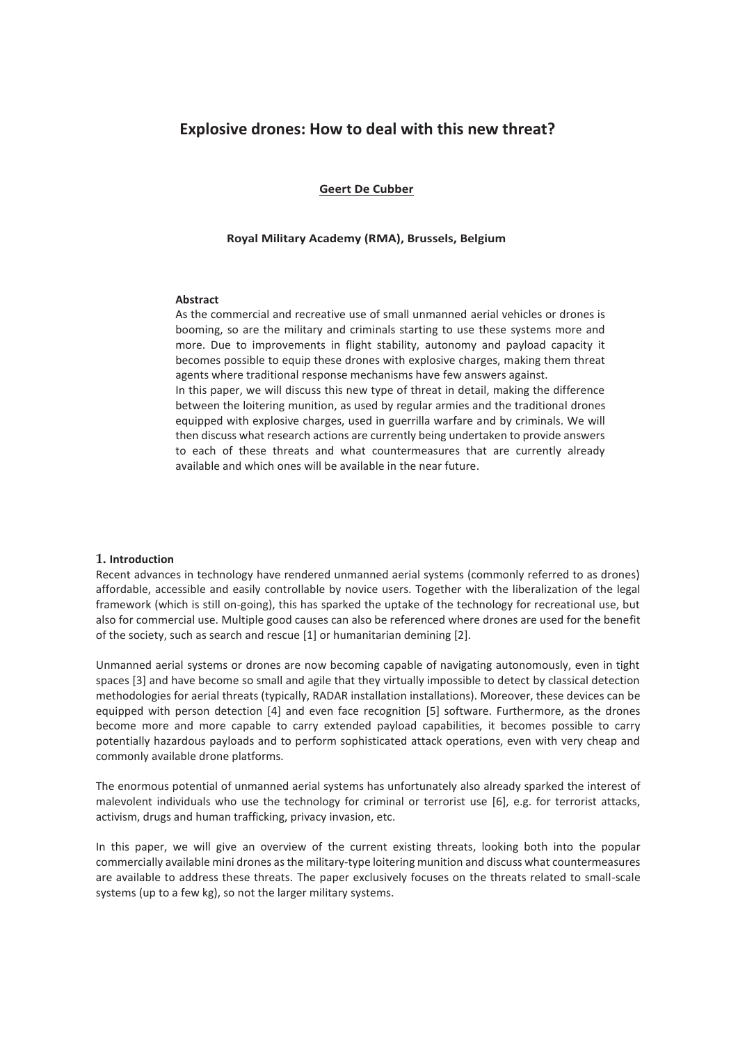# **Explosive drones: How to deal with this new threat?**

**Geert De Cubber**

#### **Royal Military Academy (RMA), Brussels, Belgium**

#### **Abstract**

As the commercial and recreative use of small unmanned aerial vehicles or drones is booming, so are the military and criminals starting to use these systems more and more. Due to improvements in flight stability, autonomy and payload capacity it becomes possible to equip these drones with explosive charges, making them threat agents where traditional response mechanisms have few answers against. In this paper, we will discuss this new type of threat in detail, making the difference between the loitering munition, as used by regular armies and the traditional drones equipped with explosive charges, used in guerrilla warfare and by criminals. We will then discuss what research actions are currently being undertaken to provide answers to each of these threats and what countermeasures that are currently already available and which ones will be available in the near future.

#### **1. Introduction**

Recent advances in technology have rendered unmanned aerial systems (commonly referred to as drones) affordable, accessible and easily controllable by novice users. Together with the liberalization of the legal framework (which is still on-going), this has sparked the uptake of the technology for recreational use, but also for commercial use. Multiple good causes can also be referenced where drones are used for the benefit of the society, such as search and rescue [1] or humanitarian demining [2].

Unmanned aerial systems or drones are now becoming capable of navigating autonomously, even in tight spaces [3] and have become so small and agile that they virtually impossible to detect by classical detection methodologies for aerial threats (typically, RADAR installation installations). Moreover, these devices can be equipped with person detection [4] and even face recognition [5] software. Furthermore, as the drones become more and more capable to carry extended payload capabilities, it becomes possible to carry potentially hazardous payloads and to perform sophisticated attack operations, even with very cheap and commonly available drone platforms.

The enormous potential of unmanned aerial systems has unfortunately also already sparked the interest of malevolent individuals who use the technology for criminal or terrorist use [6], e.g. for terrorist attacks, activism, drugs and human trafficking, privacy invasion, etc.

In this paper, we will give an overview of the current existing threats, looking both into the popular commercially available mini drones as the military-type loitering munition and discuss what countermeasures are available to address these threats. The paper exclusively focuses on the threats related to small-scale systems (up to a few kg), so not the larger military systems.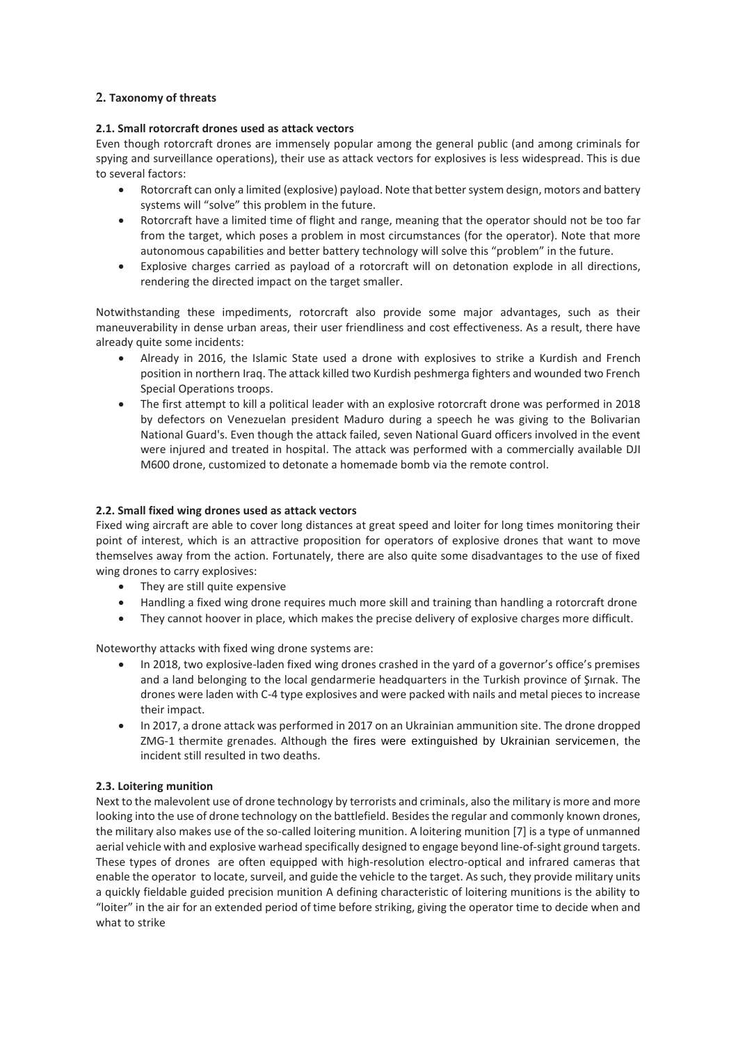### **2. Taxonomy of threats**

### **2.1. Small rotorcraft drones used as attack vectors**

Even though rotorcraft drones are immensely popular among the general public (and among criminals for spying and surveillance operations), their use as attack vectors for explosives is less widespread. This is due to several factors:

- Rotorcraft can only a limited (explosive) payload. Note that better system design, motors and battery systems will "solve" this problem in the future.
- Rotorcraft have a limited time of flight and range, meaning that the operator should not be too far from the target, which poses a problem in most circumstances (for the operator). Note that more autonomous capabilities and better battery technology will solve this "problem" in the future.
- Explosive charges carried as payload of a rotorcraft will on detonation explode in all directions, rendering the directed impact on the target smaller.

Notwithstanding these impediments, rotorcraft also provide some major advantages, such as their maneuverability in dense urban areas, their user friendliness and cost effectiveness. As a result, there have already quite some incidents:

- Already in 2016, the Islamic State used a drone with explosives to strike a Kurdish and French position in northern Iraq. The attack killed two Kurdish peshmerga fighters and wounded two French Special Operations troops.
- The first attempt to kill a political leader with an explosive rotorcraft drone was performed in 2018 by defectors on Venezuelan president Maduro during a speech he was giving to the Bolivarian National Guard's. Even though the attack failed, seven National Guard officers involved in the event were injured and treated in hospital. The attack was performed with a commercially available DJI M600 drone, customized to detonate a homemade bomb via the remote control.

### **2.2. Small fixed wing drones used as attack vectors**

Fixed wing aircraft are able to cover long distances at great speed and loiter for long times monitoring their point of interest, which is an attractive proposition for operators of explosive drones that want to move themselves away from the action. Fortunately, there are also quite some disadvantages to the use of fixed wing drones to carry explosives:

- They are still quite expensive
- Handling a fixed wing drone requires much more skill and training than handling a rotorcraft drone
- They cannot hoover in place, which makes the precise delivery of explosive charges more difficult.

Noteworthy attacks with fixed wing drone systems are:

- In 2018, two explosive-laden fixed wing drones crashed in the yard of a governor's office's premises and a land belonging to the local gendarmerie headquarters in the Turkish province of Şırnak. The drones were laden with C-4 type explosives and were packed with nails and metal pieces to increase their impact.
- In 2017, a drone attack was performed in 2017 on an Ukrainian ammunition site. The drone dropped ZMG-1 thermite grenades. Although the fires were extinguished by Ukrainian servicemen, the incident still resulted in two deaths.

#### **2.3. Loitering munition**

Next to the malevolent use of drone technology by terrorists and criminals, also the military is more and more looking into the use of drone technology on the battlefield. Besides the regular and commonly known drones, the military also makes use of the so-called loitering munition. A loitering munition [7] is a type of unmanned aerial vehicle with and explosive warhead specifically designed to engage beyond line-of-sight ground targets. These types of drones are often equipped with high-resolution electro-optical and infrared cameras that enable the operator to locate, surveil, and guide the vehicle to the target. As such, they provide military units a quickly fieldable guided precision munition A defining characteristic of loitering munitions is the ability to "loiter" in the air for an extended period of time before striking, giving the operator time to decide when and what to strike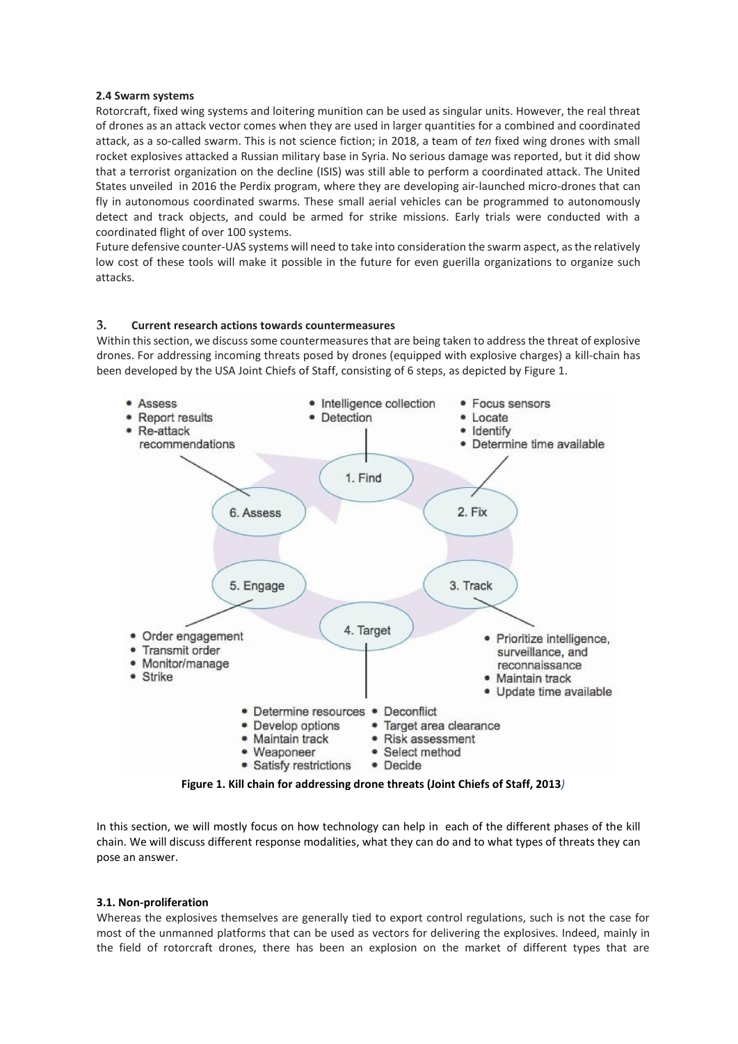#### **2.4 Swarm systems**

Rotorcraft, fixed wing systems and loitering munition can be used as singular units. However, the real threat of drones as an attack vector comes when they are used in larger quantities for a combined and coordinated attack, as a so-called swarm. This is not science fiction; in 2018, a team of *ten* fixed wing drones with small rocket explosives attacked a Russian military base in Syria. No serious damage was reported, but it did show that a terrorist organization on the decline (ISIS) was still able to perform a coordinated attack. The United States unveiled in 2016 the Perdix program, where they are developing air-launched micro-drones that can fly in autonomous coordinated swarms. These small aerial vehicles can be programmed to autonomously detect and track objects, and could be armed for strike missions. Early trials were conducted with a coordinated flight of over 100 systems.

Future defensive counter-UAS systems will need to take into consideration the swarm aspect, as the relatively low cost of these tools will make it possible in the future for even guerilla organizations to organize such attacks.

### **3. Current research actions towards countermeasures**

Within this section, we discuss some countermeasures that are being taken to address the threat of explosive drones. For addressing incoming threats posed by drones (equipped with explosive charges) a kill-chain has been developed by the USA Joint Chiefs of Staff, consisting of 6 steps, as depicted by Figure 1.



**Figure 1. Kill chain for addressing drone threats (Joint Chiefs of Staff, 2013***)*

In this section, we will mostly focus on how technology can help in each of the different phases of the kill chain. We will discuss different response modalities, what they can do and to what types of threats they can pose an answer.

#### **3.1. Non-proliferation**

Whereas the explosives themselves are generally tied to export control regulations, such is not the case for most of the unmanned platforms that can be used as vectors for delivering the explosives. Indeed, mainly in the field of rotorcraft drones, there has been an explosion on the market of different types that are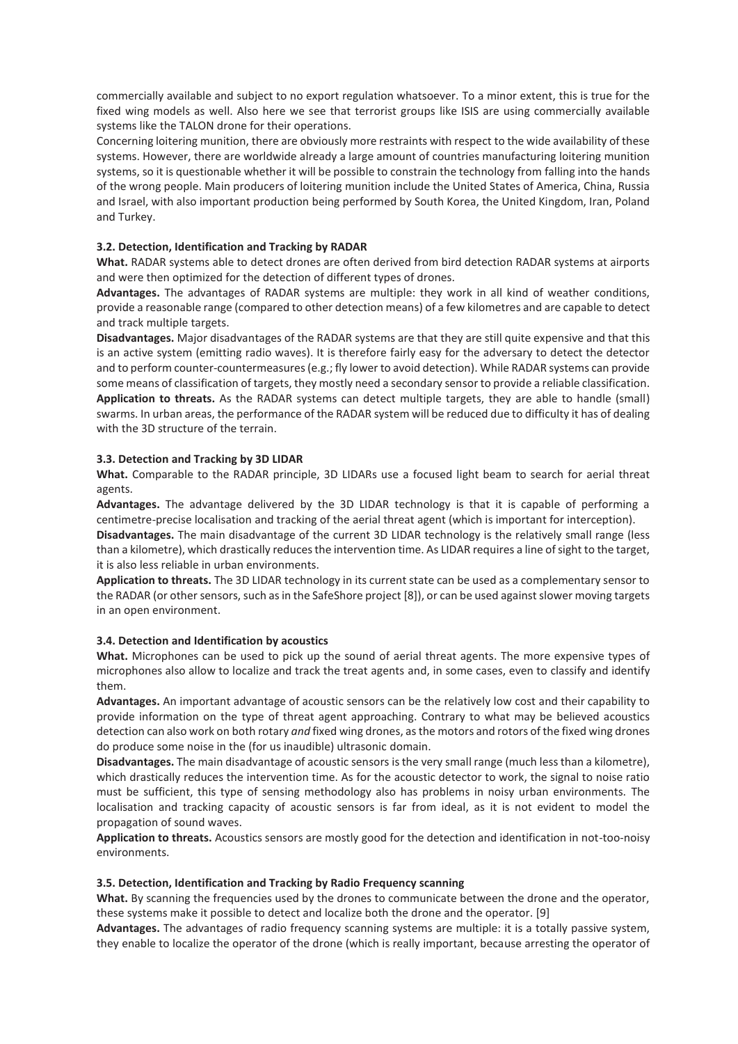commercially available and subject to no export regulation whatsoever. To a minor extent, this is true for the fixed wing models as well. Also here we see that terrorist groups like ISIS are using commercially available systems like the TALON drone for their operations.

Concerning loitering munition, there are obviously more restraints with respect to the wide availability of these systems. However, there are worldwide already a large amount of countries manufacturing loitering munition systems, so it is questionable whether it will be possible to constrain the technology from falling into the hands of the wrong people. Main producers of loitering munition include the United States of America, China, Russia and Israel, with also important production being performed by South Korea, the United Kingdom, Iran, Poland and Turkey.

### **3.2. Detection, Identification and Tracking by RADAR**

**What.** RADAR systems able to detect drones are often derived from bird detection RADAR systems at airports and were then optimized for the detection of different types of drones.

**Advantages.** The advantages of RADAR systems are multiple: they work in all kind of weather conditions, provide a reasonable range (compared to other detection means) of a few kilometres and are capable to detect and track multiple targets.

**Disadvantages.** Major disadvantages of the RADAR systems are that they are still quite expensive and that this is an active system (emitting radio waves). It is therefore fairly easy for the adversary to detect the detector and to perform counter-countermeasures (e.g.; fly lower to avoid detection). While RADAR systems can provide some means of classification of targets, they mostly need a secondary sensor to provide a reliable classification. **Application to threats.** As the RADAR systems can detect multiple targets, they are able to handle (small) swarms. In urban areas, the performance of the RADAR system will be reduced due to difficulty it has of dealing with the 3D structure of the terrain.

#### **3.3. Detection and Tracking by 3D LIDAR**

**What.** Comparable to the RADAR principle, 3D LIDARs use a focused light beam to search for aerial threat agents.

**Advantages.** The advantage delivered by the 3D LIDAR technology is that it is capable of performing a centimetre-precise localisation and tracking of the aerial threat agent (which is important for interception).

**Disadvantages.** The main disadvantage of the current 3D LIDAR technology is the relatively small range (less than a kilometre), which drastically reduces the intervention time. As LIDAR requires a line of sight to the target, it is also less reliable in urban environments.

**Application to threats.** The 3D LIDAR technology in its current state can be used as a complementary sensor to the RADAR (or other sensors, such as in the SafeShore project [8]), or can be used against slower moving targets in an open environment.

#### **3.4. Detection and Identification by acoustics**

**What.** Microphones can be used to pick up the sound of aerial threat agents. The more expensive types of microphones also allow to localize and track the treat agents and, in some cases, even to classify and identify them.

**Advantages.** An important advantage of acoustic sensors can be the relatively low cost and their capability to provide information on the type of threat agent approaching. Contrary to what may be believed acoustics detection can also work on both rotary *and* fixed wing drones, as the motors and rotors of the fixed wing drones do produce some noise in the (for us inaudible) ultrasonic domain.

**Disadvantages.** The main disadvantage of acoustic sensors is the very small range (much less than a kilometre), which drastically reduces the intervention time. As for the acoustic detector to work, the signal to noise ratio must be sufficient, this type of sensing methodology also has problems in noisy urban environments. The localisation and tracking capacity of acoustic sensors is far from ideal, as it is not evident to model the propagation of sound waves.

**Application to threats.** Acoustics sensors are mostly good for the detection and identification in not-too-noisy environments.

#### **3.5. Detection, Identification and Tracking by Radio Frequency scanning**

What. By scanning the frequencies used by the drones to communicate between the drone and the operator, these systems make it possible to detect and localize both the drone and the operator. [9]

**Advantages.** The advantages of radio frequency scanning systems are multiple: it is a totally passive system, they enable to localize the operator of the drone (which is really important, because arresting the operator of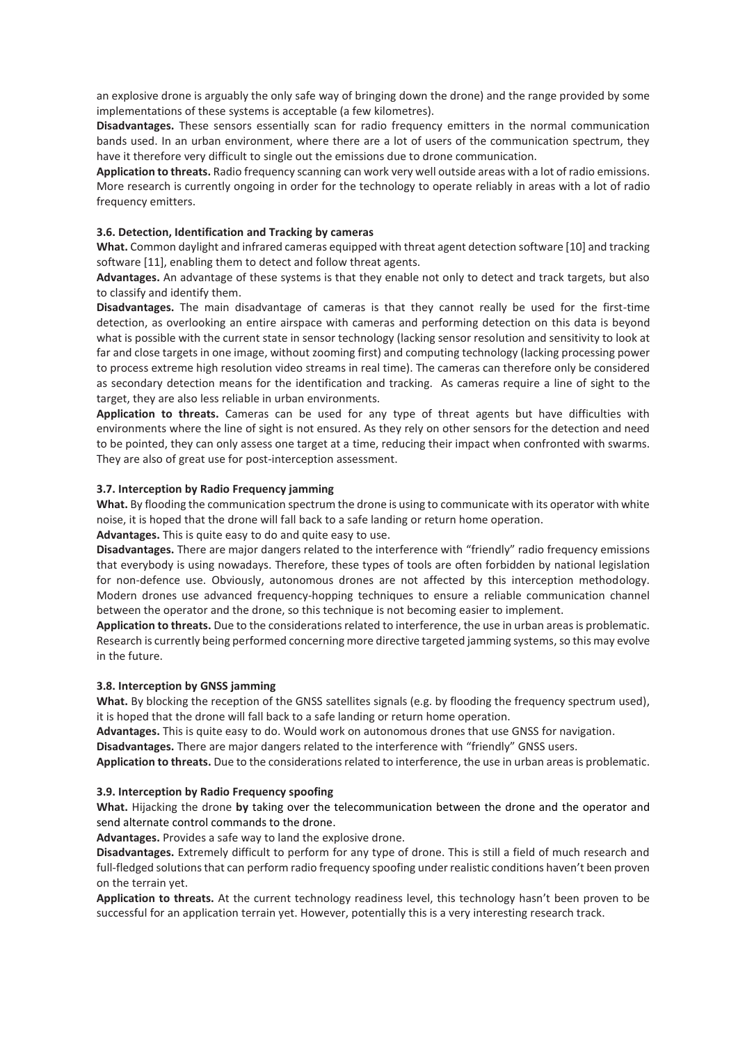an explosive drone is arguably the only safe way of bringing down the drone) and the range provided by some implementations of these systems is acceptable (a few kilometres).

**Disadvantages.** These sensors essentially scan for radio frequency emitters in the normal communication bands used. In an urban environment, where there are a lot of users of the communication spectrum, they have it therefore very difficult to single out the emissions due to drone communication.

**Application to threats.** Radio frequency scanning can work very well outside areas with a lot of radio emissions. More research is currently ongoing in order for the technology to operate reliably in areas with a lot of radio frequency emitters.

### **3.6. Detection, Identification and Tracking by cameras**

**What.** Common daylight and infrared cameras equipped with threat agent detection software [10] and tracking software [11], enabling them to detect and follow threat agents.

**Advantages.** An advantage of these systems is that they enable not only to detect and track targets, but also to classify and identify them.

**Disadvantages.** The main disadvantage of cameras is that they cannot really be used for the first-time detection, as overlooking an entire airspace with cameras and performing detection on this data is beyond what is possible with the current state in sensor technology (lacking sensor resolution and sensitivity to look at far and close targets in one image, without zooming first) and computing technology (lacking processing power to process extreme high resolution video streams in real time). The cameras can therefore only be considered as secondary detection means for the identification and tracking. As cameras require a line of sight to the target, they are also less reliable in urban environments.

**Application to threats.** Cameras can be used for any type of threat agents but have difficulties with environments where the line of sight is not ensured. As they rely on other sensors for the detection and need to be pointed, they can only assess one target at a time, reducing their impact when confronted with swarms. They are also of great use for post-interception assessment.

#### **3.7. Interception by Radio Frequency jamming**

**What.** By flooding the communication spectrum the drone is using to communicate with its operator with white noise, it is hoped that the drone will fall back to a safe landing or return home operation.

**Advantages.** This is quite easy to do and quite easy to use.

**Disadvantages.** There are major dangers related to the interference with "friendly" radio frequency emissions that everybody is using nowadays. Therefore, these types of tools are often forbidden by national legislation for non-defence use. Obviously, autonomous drones are not affected by this interception methodology. Modern drones use advanced frequency-hopping techniques to ensure a reliable communication channel between the operator and the drone, so this technique is not becoming easier to implement.

**Application to threats.** Due to the considerations related to interference, the use in urban areas is problematic. Research is currently being performed concerning more directive targeted jamming systems, so this may evolve in the future.

#### **3.8. Interception by GNSS jamming**

**What.** By blocking the reception of the GNSS satellites signals (e.g. by flooding the frequency spectrum used), it is hoped that the drone will fall back to a safe landing or return home operation.

**Advantages.** This is quite easy to do. Would work on autonomous drones that use GNSS for navigation.

**Disadvantages.** There are major dangers related to the interference with "friendly" GNSS users.

**Application to threats.** Due to the considerations related to interference, the use in urban areas is problematic.

#### **3.9. Interception by Radio Frequency spoofing**

**What.** Hijacking the drone **by** taking over the telecommunication between the drone and the operator and send alternate control commands to the drone.

**Advantages.** Provides a safe way to land the explosive drone.

**Disadvantages.** Extremely difficult to perform for any type of drone. This is still a field of much research and full-fledged solutions that can perform radio frequency spoofing under realistic conditions haven't been proven on the terrain yet.

**Application to threats.** At the current technology readiness level, this technology hasn't been proven to be successful for an application terrain yet. However, potentially this is a very interesting research track.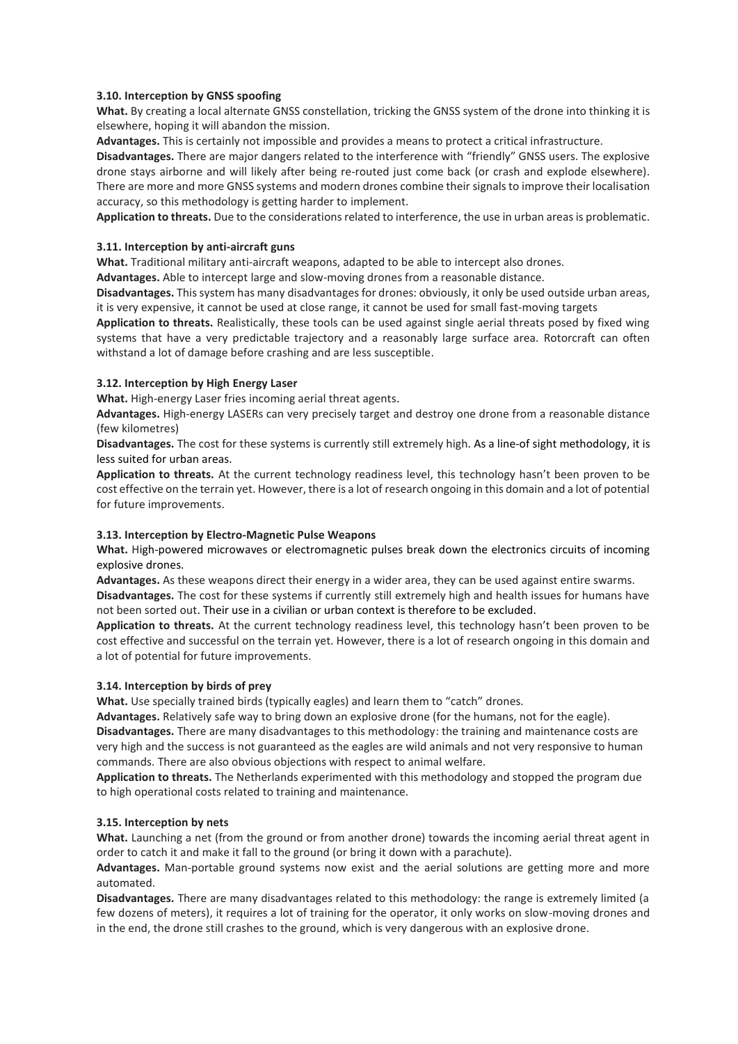### **3.10. Interception by GNSS spoofing**

**What.** By creating a local alternate GNSS constellation, tricking the GNSS system of the drone into thinking it is elsewhere, hoping it will abandon the mission.

**Advantages.** This is certainly not impossible and provides a means to protect a critical infrastructure.

**Disadvantages.** There are major dangers related to the interference with "friendly" GNSS users. The explosive drone stays airborne and will likely after being re-routed just come back (or crash and explode elsewhere). There are more and more GNSS systems and modern drones combine their signals to improve their localisation accuracy, so this methodology is getting harder to implement.

**Application to threats.** Due to the considerations related to interference, the use in urban areas is problematic.

### **3.11. Interception by anti-aircraft guns**

**What.** Traditional military anti-aircraft weapons, adapted to be able to intercept also drones.

**Advantages.** Able to intercept large and slow-moving drones from a reasonable distance.

**Disadvantages.** This system has many disadvantages for drones: obviously, it only be used outside urban areas, it is very expensive, it cannot be used at close range, it cannot be used for small fast-moving targets

**Application to threats.** Realistically, these tools can be used against single aerial threats posed by fixed wing systems that have a very predictable trajectory and a reasonably large surface area. Rotorcraft can often withstand a lot of damage before crashing and are less susceptible.

### **3.12. Interception by High Energy Laser**

**What.** High-energy Laser fries incoming aerial threat agents.

**Advantages.** High-energy LASERs can very precisely target and destroy one drone from a reasonable distance (few kilometres)

**Disadvantages.** The cost for these systems is currently still extremely high. As a line-of sight methodology, it is less suited for urban areas.

**Application to threats.** At the current technology readiness level, this technology hasn't been proven to be cost effective on the terrain yet. However, there is a lot of research ongoing in this domain and a lot of potential for future improvements.

# **3.13. Interception by Electro-Magnetic Pulse Weapons**

**What.** High-powered microwaves or electromagnetic pulses break down the electronics circuits of incoming explosive drones.

**Advantages.** As these weapons direct their energy in a wider area, they can be used against entire swarms.

**Disadvantages.** The cost for these systems if currently still extremely high and health issues for humans have not been sorted out. Their use in a civilian or urban context is therefore to be excluded.

**Application to threats.** At the current technology readiness level, this technology hasn't been proven to be cost effective and successful on the terrain yet. However, there is a lot of research ongoing in this domain and a lot of potential for future improvements.

# **3.14. Interception by birds of prey**

**What.** Use specially trained birds (typically eagles) and learn them to "catch" drones.

**Advantages.** Relatively safe way to bring down an explosive drone (for the humans, not for the eagle).

**Disadvantages.** There are many disadvantages to this methodology: the training and maintenance costs are very high and the success is not guaranteed as the eagles are wild animals and not very responsive to human commands. There are also obvious objections with respect to animal welfare.

**Application to threats.** The Netherlands experimented with this methodology and stopped the program due to high operational costs related to training and maintenance.

#### **3.15. Interception by nets**

**What.** Launching a net (from the ground or from another drone) towards the incoming aerial threat agent in order to catch it and make it fall to the ground (or bring it down with a parachute).

**Advantages.** Man-portable ground systems now exist and the aerial solutions are getting more and more automated.

**Disadvantages.** There are many disadvantages related to this methodology: the range is extremely limited (a few dozens of meters), it requires a lot of training for the operator, it only works on slow-moving drones and in the end, the drone still crashes to the ground, which is very dangerous with an explosive drone.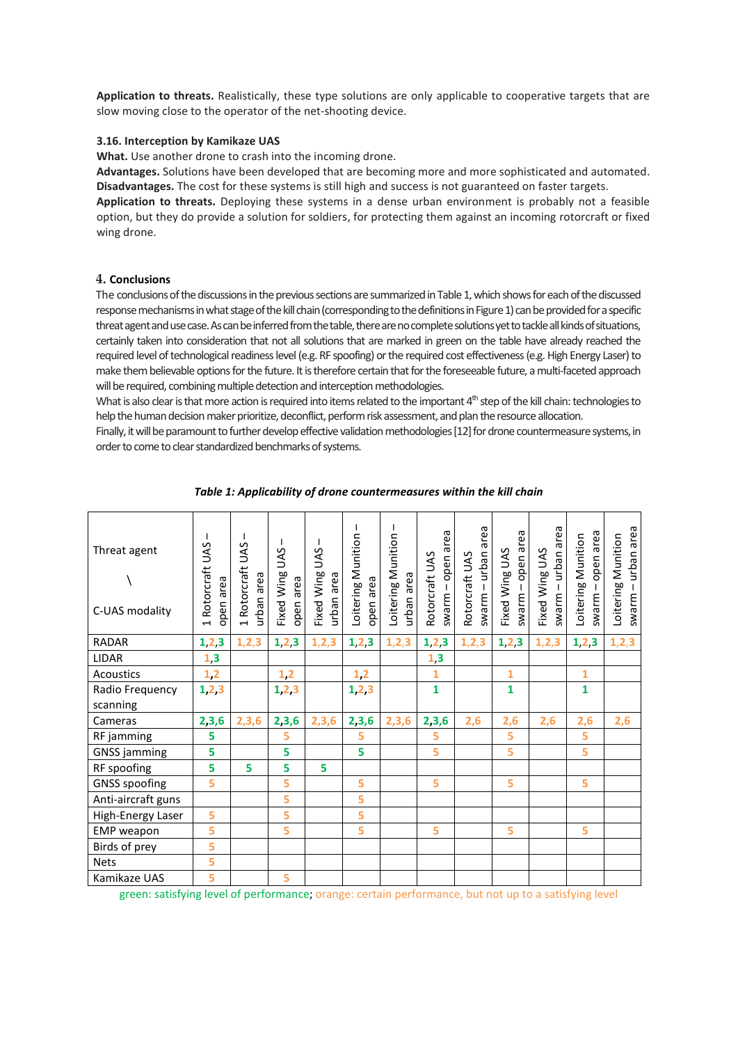**Application to threats.** Realistically, these type solutions are only applicable to cooperative targets that are slow moving close to the operator of the net-shooting device.

#### **3.16. Interception by Kamikaze UAS**

**What.** Use another drone to crash into the incoming drone.

**Advantages.** Solutions have been developed that are becoming more and more sophisticated and automated. **Disadvantages.** The cost for these systems is still high and success is not guaranteed on faster targets.

**Application to threats.** Deploying these systems in a dense urban environment is probably not a feasible option, but they do provide a solution for soldiers, for protecting them against an incoming rotorcraft or fixed wing drone.

#### **4. Conclusions**

The conclusions of the discussions in the previous sections are summarized in Table1, which showsfor each of the discussed response mechanismsin what stage of the kill chain (corresponding to the definitions in Figure 1) can be provided for a specific threat agent and use case.As can be inferred from the table, there are no complete solutions yet to tackle all kinds of situations, certainly taken into consideration that not all solutions that are marked in green on the table have already reached the required level of technological readiness level (e.g. RF spoofing) or the required cost effectiveness(e.g. High Energy Laser) to make them believable options for the future. It is therefore certain that for the foreseeable future, a multi-faceted approach will be required, combining multiple detection and interception methodologies.

What is also clear is that more action is required into items related to the important 4<sup>th</sup> step of the kill chain: technologies to help the human decision maker prioritize, deconflict, perform risk assessment, and plan the resource allocation.

Finally, it will be paramount to further develop effective validation methodologies [12] for drone countermeasure systems, in order to come to clear standardized benchmarks of systems.

| Threat agent<br>C-UAS modality | 1 Rotorcraft UAS<br>open area | 1 Rotorcraft UAS<br>urban area | Fixed Wing UAS<br>open area | <b>UAS</b><br>Fixed Wing<br>urban area | Loitering Munition<br>open area | Loitering Munition<br>urban area | swarm – open area<br>Rotorcraft UAS | area<br>nedun - manews<br>Rotorcraft UAS | swarm – open area<br>Fixed Wing UAS | swarm – urban area<br>Fixed Wing UAS | open area<br>Loitering Munition<br>$swarray -$ | urban area<br>Loitering Munition<br>$-$ marms |
|--------------------------------|-------------------------------|--------------------------------|-----------------------------|----------------------------------------|---------------------------------|----------------------------------|-------------------------------------|------------------------------------------|-------------------------------------|--------------------------------------|------------------------------------------------|-----------------------------------------------|
| <b>RADAR</b>                   | 1, 2, 3                       | 1, 2, 3                        | 1, 2, 3                     | 1, 2, 3                                | 1, 2, 3                         | 1, 2, 3                          | 1, 2, 3                             | 1, 2, 3                                  | 1, 2, 3                             | 1, 2, 3                              | 1, 2, 3                                        | 1, 2, 3                                       |
| <b>LIDAR</b>                   | 1,3                           |                                |                             |                                        |                                 |                                  | 1,3                                 |                                          |                                     |                                      |                                                |                                               |
| <b>Acoustics</b>               | 1,2                           |                                | 1,2                         |                                        | $1,2$                           |                                  | 1                                   |                                          | $\mathbf{1}$                        |                                      | $\mathbf{1}$                                   |                                               |
| Radio Frequency                | 1, 2, 3                       |                                | 1, 2, 3                     |                                        | 1, 2, 3                         |                                  | $\mathbf{1}$                        |                                          | $\mathbf{1}$                        |                                      | 1                                              |                                               |
| scanning                       |                               |                                |                             |                                        |                                 |                                  |                                     |                                          |                                     |                                      |                                                |                                               |
| Cameras                        | 2,3,6                         | 2,3,6                          | 2,3,6                       | 2,3,6                                  | 2,3,6                           | 2,3,6                            | 2,3,6                               | 2,6                                      | 2,6                                 | 2,6                                  | 2,6                                            | 2,6                                           |
| RF jamming                     | 5                             |                                | 5                           |                                        | 5                               |                                  | 5                                   |                                          | 5                                   |                                      | 5                                              |                                               |
| <b>GNSS</b> jamming            | 5                             |                                | 5                           |                                        | 5                               |                                  | 5                                   |                                          | 5                                   |                                      | 5                                              |                                               |
| RF spoofing                    | 5                             | 5                              | 5                           | 5                                      |                                 |                                  |                                     |                                          |                                     |                                      |                                                |                                               |
| <b>GNSS</b> spoofing           | 5                             |                                | 5                           |                                        | 5                               |                                  | 5                                   |                                          | 5                                   |                                      | 5                                              |                                               |
| Anti-aircraft guns             |                               |                                | 5                           |                                        | 5                               |                                  |                                     |                                          |                                     |                                      |                                                |                                               |
| High-Energy Laser              | 5                             |                                | 5                           |                                        | 5                               |                                  |                                     |                                          |                                     |                                      |                                                |                                               |
| <b>EMP</b> weapon              | 5                             |                                | 5                           |                                        | 5                               |                                  | 5                                   |                                          | 5                                   |                                      | 5                                              |                                               |
| Birds of prey                  | 5                             |                                |                             |                                        |                                 |                                  |                                     |                                          |                                     |                                      |                                                |                                               |
| <b>Nets</b>                    | 5                             |                                |                             |                                        |                                 |                                  |                                     |                                          |                                     |                                      |                                                |                                               |
| Kamikaze UAS                   | 5                             |                                | 5                           |                                        |                                 |                                  |                                     |                                          |                                     |                                      |                                                |                                               |

#### *Table 1: Applicability of drone countermeasures within the kill chain*

green: satisfying level of performance; orange: certain performance, but not up to a satisfying level